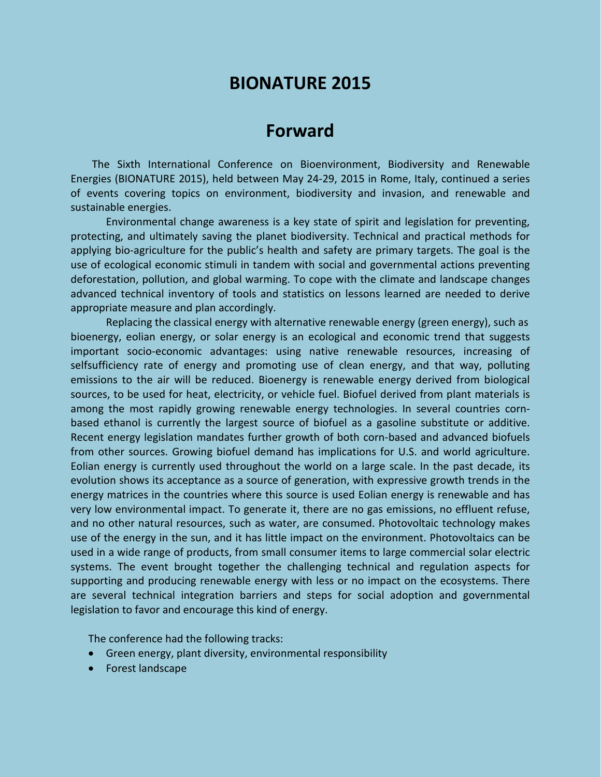# **BIONATURE 2015**

## **Forward**

The Sixth International Conference on Bioenvironment, Biodiversity and Renewable Energies (BIONATURE 2015), held between May 24-29, 2015 in Rome, Italy, continued a series of events covering topics on environment, biodiversity and invasion, and renewable and sustainable energies.

Environmental change awareness is a key state of spirit and legislation for preventing, protecting, and ultimately saving the planet biodiversity. Technical and practical methods for applying bio-agriculture for the public's health and safety are primary targets. The goal is the use of ecological economic stimuli in tandem with social and governmental actions preventing deforestation, pollution, and global warming. To cope with the climate and landscape changes advanced technical inventory of tools and statistics on lessons learned are needed to derive appropriate measure and plan accordingly.

Replacing the classical energy with alternative renewable energy (green energy), such as bioenergy, eolian energy, or solar energy is an ecological and economic trend that suggests important socio-economic advantages: using native renewable resources, increasing of selfsufficiency rate of energy and promoting use of clean energy, and that way, polluting emissions to the air will be reduced. Bioenergy is renewable energy derived from biological sources, to be used for heat, electricity, or vehicle fuel. Biofuel derived from plant materials is among the most rapidly growing renewable energy technologies. In several countries cornbased ethanol is currently the largest source of biofuel as a gasoline substitute or additive. Recent energy legislation mandates further growth of both corn-based and advanced biofuels from other sources. Growing biofuel demand has implications for U.S. and world agriculture. Eolian energy is currently used throughout the world on a large scale. In the past decade, its evolution shows its acceptance as a source of generation, with expressive growth trends in the energy matrices in the countries where this source is used Eolian energy is renewable and has very low environmental impact. To generate it, there are no gas emissions, no effluent refuse, and no other natural resources, such as water, are consumed. Photovoltaic technology makes use of the energy in the sun, and it has little impact on the environment. Photovoltaics can be used in a wide range of products, from small consumer items to large commercial solar electric systems. The event brought together the challenging technical and regulation aspects for supporting and producing renewable energy with less or no impact on the ecosystems. There are several technical integration barriers and steps for social adoption and governmental legislation to favor and encourage this kind of energy.

The conference had the following tracks:

- Green energy, plant diversity, environmental responsibility
- **•** Forest landscape